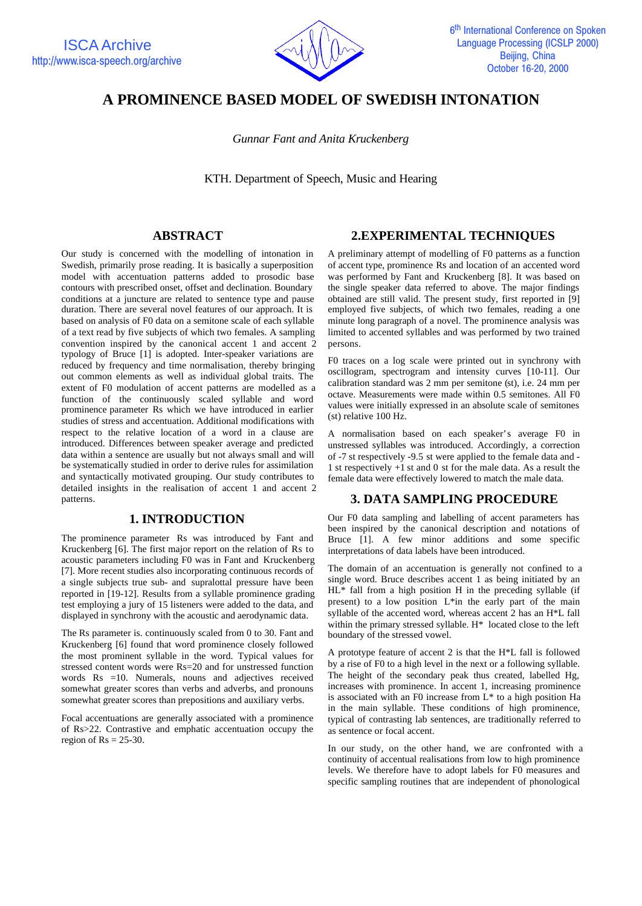

# **A PROMINENCE BASED MODEL OF SWEDISH INTONATION**

*Gunnar Fant and Anita Kruckenberg*

KTH. Department of Speech, Music and Hearing

### **ABSTRACT**

Our study is concerned with the modelling of intonation in Swedish, primarily prose reading. It is basically a superposition model with accentuation patterns added to prosodic base contours with prescribed onset, offset and declination. Boundary conditions at a juncture are related to sentence type and pause duration. There are several novel features of our approach. It is based on analysis of F0 data on a semitone scale of each syllable of a text read by five subjects of which two females. A sampling convention inspired by the canonical accent 1 and accent 2 typology of Bruce [1] is adopted. Inter-speaker variations are reduced by frequency and time normalisation, thereby bringing out common elements as well as individual global traits. The extent of F0 modulation of accent patterns are modelled as a function of the continuously scaled syllable and word prominence parameter Rs which we have introduced in earlier studies of stress and accentuation. Additional modifications with respect to the relative location of a word in a clause are introduced. Differences between speaker average and predicted data within a sentence are usually but not always small and will be systematically studied in order to derive rules for assimilation and syntactically motivated grouping. Our study contributes to detailed insights in the realisation of accent 1 and accent 2 patterns.

### **1. INTRODUCTION**

The prominence parameter Rs was introduced by Fant and Kruckenberg [6]. The first major report on the relation of Rs to acoustic parameters including F0 was in Fant and Kruckenberg [7]. More recent studies also incorporating continuous records of a single subjects true sub- and supralottal pressure have been reported in [19-12]. Results from a syllable prominence grading test employing a jury of 15 listeners were added to the data, and displayed in synchrony with the acoustic and aerodynamic data.

The Rs parameter is. continuously scaled from 0 to 30. Fant and Kruckenberg [6] found that word prominence closely followed the most prominent syllable in the word. Typical values for stressed content words were Rs=20 and for unstressed function words Rs =10. Numerals, nouns and adjectives received somewhat greater scores than verbs and adverbs, and pronouns somewhat greater scores than prepositions and auxiliary verbs.

Focal accentuations are generally associated with a prominence of Rs>22. Contrastive and emphatic accentuation occupy the region of  $Rs = 25-30$ .

## **2.EXPERIMENTAL TECHNIQUES**

A preliminary attempt of modelling of F0 patterns as a function of accent type, prominence Rs and location of an accented word was performed by Fant and Kruckenberg [8]. It was based on the single speaker data referred to above. The major findings obtained are still valid. The present study, first reported in [9] employed five subjects, of which two females, reading a one minute long paragraph of a novel. The prominence analysis was limited to accented syllables and was performed by two trained persons.

F0 traces on a log scale were printed out in synchrony with oscillogram, spectrogram and intensity curves [10-11]. Our calibration standard was 2 mm per semitone (st), i.e. 24 mm per octave. Measurements were made within 0.5 semitones. All F0 values were initially expressed in an absolute scale of semitones (st) relative 100 Hz.

A normalisation based on each speaker's average F0 in unstressed syllables was introduced. Accordingly, a correction of -7 st respectively -9.5 st were applied to the female data and - 1 st respectively +1 st and 0 st for the male data. As a result the female data were effectively lowered to match the male data.

### **3. DATA SAMPLING PROCEDURE**

Our F0 data sampling and labelling of accent parameters has been inspired by the canonical description and notations of Bruce [1]. A few minor additions and some specific interpretations of data labels have been introduced.

The domain of an accentuation is generally not confined to a single word. Bruce describes accent 1 as being initiated by an HL\* fall from a high position H in the preceding syllable (if present) to a low position L\*in the early part of the main syllable of the accented word, whereas accent 2 has an H\*L fall within the primary stressed syllable. H\* located close to the left boundary of the stressed vowel.

A prototype feature of accent 2 is that the H\*L fall is followed by a rise of F0 to a high level in the next or a following syllable. The height of the secondary peak thus created, labelled Hg, increases with prominence. In accent 1, increasing prominence is associated with an F0 increase from L\* to a high position Ha in the main syllable. These conditions of high prominence, typical of contrasting lab sentences, are traditionally referred to as sentence or focal accent.

In our study, on the other hand, we are confronted with a continuity of accentual realisations from low to high prominence levels. We therefore have to adopt labels for F0 measures and specific sampling routines that are independent of phonological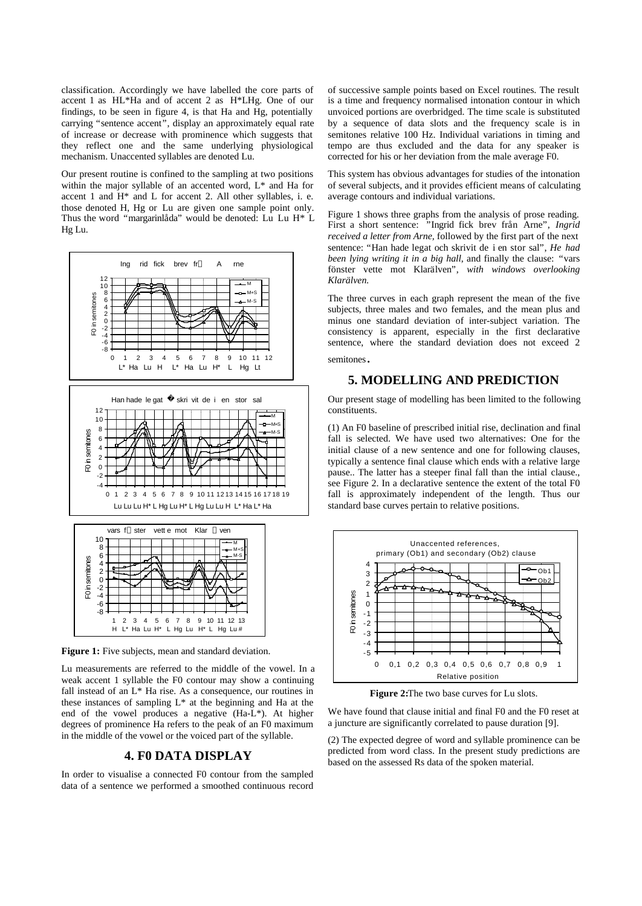classification. Accordingly we have labelled the core parts of accent 1 as HL\*Ha and of accent 2 as H\*LHg. One of our findings, to be seen in figure 4, is that Ha and Hg, potentially carrying "sentence accent", display an approximately equal rate of increase or decrease with prominence which suggests that they reflect one and the same underlying physiological mechanism. Unaccented syllables are denoted Lu.

Our present routine is confined to the sampling at two positions within the major syllable of an accented word, L\* and Ha for accent 1 and H\* and L for accent 2. All other syllables, i. e. those denoted H, Hg or Lu are given one sample point only. Thus the word "margarinlåda" would be denoted: Lu Lu H\* L Hg Lu.





Figure 1: Five subjects, mean and standard deviation.

Lu measurements are referred to the middle of the vowel. In a weak accent 1 syllable the F0 contour may show a continuing fall instead of an L\* Ha rise. As a consequence, our routines in these instances of sampling L\* at the beginning and Ha at the end of the vowel produces a negative (Ha-L\*). At higher degrees of prominence Ha refers to the peak of an F0 maximum in the middle of the vowel or the voiced part of the syllable.

### **4. F0 DATA DISPLAY**

In order to visualise a connected F0 contour from the sampled data of a sentence we performed a smoothed continuous record of successive sample points based on Excel routines. The result is a time and frequency normalised intonation contour in which unvoiced portions are overbridged. The time scale is substituted by a sequence of data slots and the frequency scale is in semitones relative 100 Hz. Individual variations in timing and tempo are thus excluded and the data for any speaker is corrected for his or her deviation from the male average F0.

This system has obvious advantages for studies of the intonation of several subjects, and it provides efficient means of calculating average contours and individual variations.

Figure 1 shows three graphs from the analysis of prose reading. First a short sentence: "Ingrid fick brev från Arne", *Ingrid received a letter from Arne,* followed by the first part of the next sentence: "Han hade legat och skrivit de i en stor sal", *He had been lying writing it in a big hall*, and finally the clause: "vars fönster vette mot Klarälven", *with windows overlooking Klarälven.*

The three curves in each graph represent the mean of the five subjects, three males and two females, and the mean plus and minus one standard deviation of inter-subject variation. The consistency is apparent, especially in the first declarative sentence, where the standard deviation does not exceed 2 semitones.

#### **5. MODELLING AND PREDICTION**

Our present stage of modelling has been limited to the following constituents.

(1) An F0 baseline of prescribed initial rise, declination and final fall is selected. We have used two alternatives: One for the initial clause of a new sentence and one for following clauses, typically a sentence final clause which ends with a relative large pause.. The latter has a steeper final fall than the intial clause., see Figure 2. In a declarative sentence the extent of the total F0 fall is approximately independent of the length. Thus our standard base curves pertain to relative positions.



**Figure 2:**The two base curves for Lu slots.

We have found that clause initial and final F0 and the F0 reset at a juncture are significantly correlated to pause duration [9].

(2) The expected degree of word and syllable prominence can be predicted from word class. In the present study predictions are based on the assessed Rs data of the spoken material.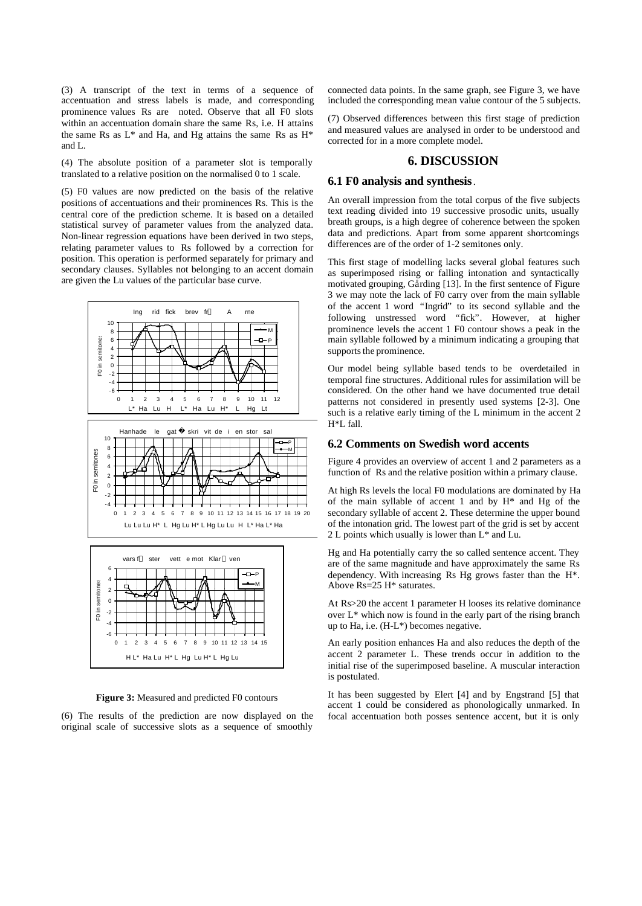(3) A transcript of the text in terms of a sequence of accentuation and stress labels is made, and corresponding prominence values Rs are noted. Observe that all F0 slots within an accentuation domain share the same Rs, i.e. H attains the same Rs as L\* and Ha, and Hg attains the same Rs as H\* and L.

(4) The absolute position of a parameter slot is temporally translated to a relative position on the normalised 0 to 1 scale.

(5) F0 values are now predicted on the basis of the relative positions of accentuations and their prominences Rs. This is the central core of the prediction scheme. It is based on a detailed statistical survey of parameter values from the analyzed data. Non-linear regression equations have been derived in two steps, relating parameter values to Rs followed by a correction for position. This operation is performed separately for primary and secondary clauses. Syllables not belonging to an accent domain are given the Lu values of the particular base curve.



**Figure 3:** Measured and predicted F0 contours

H L\* Ha Lu H\* L Hg Lu H\* L Hg Lu

(6) The results of the prediction are now displayed on the original scale of successive slots as a sequence of smoothly

connected data points. In the same graph, see Figure 3, we have included the corresponding mean value contour of the 5 subjects.

(7) Observed differences between this first stage of prediction and measured values are analysed in order to be understood and corrected for in a more complete model.

#### **6. DISCUSSION**

#### **6.1 F0 analysis and synthesis**.

An overall impression from the total corpus of the five subjects text reading divided into 19 successive prosodic units, usually breath groups, is a high degree of coherence between the spoken data and predictions. Apart from some apparent shortcomings differences are of the order of 1-2 semitones only.

This first stage of modelling lacks several global features such as superimposed rising or falling intonation and syntactically motivated grouping, Gårding [13]. In the first sentence of Figure 3 we may note the lack of F0 carry over from the main syllable of the accent 1 word "Ingrid" to its second syllable and the following unstressed word "fick". However, at higher prominence levels the accent 1 F0 contour shows a peak in the main syllable followed by a minimum indicating a grouping that supports the prominence.

Our model being syllable based tends to be overdetailed in temporal fine structures. Additional rules for assimilation will be considered. On the other hand we have documented true detail patterns not considered in presently used systems [2-3]. One such is a relative early timing of the L minimum in the accent 2 H\*L fall.

#### **6.2 Comments on Swedish word accents**

Figure 4 provides an overview of accent 1 and 2 parameters as a function of Rs and the relative position within a primary clause.

At high Rs levels the local F0 modulations are dominated by Ha of the main syllable of accent 1 and by H\* and Hg of the secondary syllable of accent 2. These determine the upper bound of the intonation grid. The lowest part of the grid is set by accent 2 L points which usually is lower than L\* and Lu.

Hg and Ha potentially carry the so called sentence accent. They are of the same magnitude and have approximately the same Rs dependency. With increasing Rs Hg grows faster than the H\*. Above Rs=25 H\* saturates.

At Rs>20 the accent 1 parameter H looses its relative dominance over L\* which now is found in the early part of the rising branch up to Ha, i.e. (H-L\*) becomes negative.

An early position enhances Ha and also reduces the depth of the accent 2 parameter L. These trends occur in addition to the initial rise of the superimposed baseline. A muscular interaction is postulated.

It has been suggested by Elert [4] and by Engstrand [5] that accent 1 could be considered as phonologically unmarked. In focal accentuation both posses sentence accent, but it is only